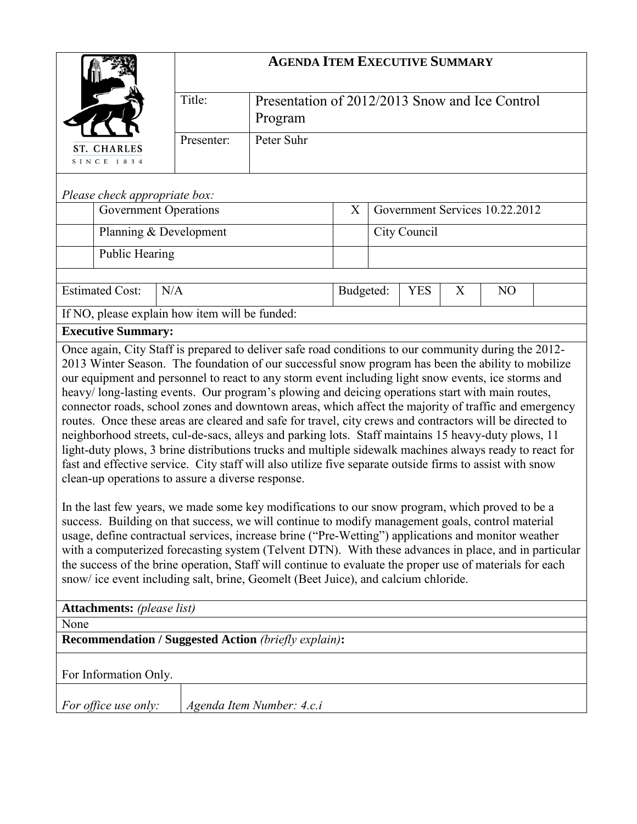|                                                                                                                                                                                                                                                                                                                                                                                                                                                                                                                                                                                                                                                                                                                                                                                                                                                                                                                                                                                                                                                                                                                                                                                                                                                                                                                                                                                                                                                                                                                                             | <b>AGENDA ITEM EXECUTIVE SUMMARY</b>                                |  |           |                                |            |   |                |  |
|---------------------------------------------------------------------------------------------------------------------------------------------------------------------------------------------------------------------------------------------------------------------------------------------------------------------------------------------------------------------------------------------------------------------------------------------------------------------------------------------------------------------------------------------------------------------------------------------------------------------------------------------------------------------------------------------------------------------------------------------------------------------------------------------------------------------------------------------------------------------------------------------------------------------------------------------------------------------------------------------------------------------------------------------------------------------------------------------------------------------------------------------------------------------------------------------------------------------------------------------------------------------------------------------------------------------------------------------------------------------------------------------------------------------------------------------------------------------------------------------------------------------------------------------|---------------------------------------------------------------------|--|-----------|--------------------------------|------------|---|----------------|--|
|                                                                                                                                                                                                                                                                                                                                                                                                                                                                                                                                                                                                                                                                                                                                                                                                                                                                                                                                                                                                                                                                                                                                                                                                                                                                                                                                                                                                                                                                                                                                             | Title:<br>Presentation of 2012/2013 Snow and Ice Control<br>Program |  |           |                                |            |   |                |  |
| <b>ST. CHARLES</b><br>SINCE 1834                                                                                                                                                                                                                                                                                                                                                                                                                                                                                                                                                                                                                                                                                                                                                                                                                                                                                                                                                                                                                                                                                                                                                                                                                                                                                                                                                                                                                                                                                                            | Peter Suhr<br>Presenter:                                            |  |           |                                |            |   |                |  |
| Please check appropriate box:                                                                                                                                                                                                                                                                                                                                                                                                                                                                                                                                                                                                                                                                                                                                                                                                                                                                                                                                                                                                                                                                                                                                                                                                                                                                                                                                                                                                                                                                                                               |                                                                     |  |           |                                |            |   |                |  |
|                                                                                                                                                                                                                                                                                                                                                                                                                                                                                                                                                                                                                                                                                                                                                                                                                                                                                                                                                                                                                                                                                                                                                                                                                                                                                                                                                                                                                                                                                                                                             | <b>Government Operations</b>                                        |  |           | Government Services 10.22.2012 |            |   |                |  |
| Planning & Development                                                                                                                                                                                                                                                                                                                                                                                                                                                                                                                                                                                                                                                                                                                                                                                                                                                                                                                                                                                                                                                                                                                                                                                                                                                                                                                                                                                                                                                                                                                      |                                                                     |  |           | City Council                   |            |   |                |  |
| <b>Public Hearing</b>                                                                                                                                                                                                                                                                                                                                                                                                                                                                                                                                                                                                                                                                                                                                                                                                                                                                                                                                                                                                                                                                                                                                                                                                                                                                                                                                                                                                                                                                                                                       |                                                                     |  |           |                                |            |   |                |  |
| <b>Estimated Cost:</b><br>N/A                                                                                                                                                                                                                                                                                                                                                                                                                                                                                                                                                                                                                                                                                                                                                                                                                                                                                                                                                                                                                                                                                                                                                                                                                                                                                                                                                                                                                                                                                                               |                                                                     |  | Budgeted: |                                | <b>YES</b> | X | N <sub>O</sub> |  |
| If NO, please explain how item will be funded:                                                                                                                                                                                                                                                                                                                                                                                                                                                                                                                                                                                                                                                                                                                                                                                                                                                                                                                                                                                                                                                                                                                                                                                                                                                                                                                                                                                                                                                                                              |                                                                     |  |           |                                |            |   |                |  |
| <b>Executive Summary:</b>                                                                                                                                                                                                                                                                                                                                                                                                                                                                                                                                                                                                                                                                                                                                                                                                                                                                                                                                                                                                                                                                                                                                                                                                                                                                                                                                                                                                                                                                                                                   |                                                                     |  |           |                                |            |   |                |  |
| 2013 Winter Season. The foundation of our successful snow program has been the ability to mobilize<br>our equipment and personnel to react to any storm event including light snow events, ice storms and<br>heavy/long-lasting events. Our program's plowing and deicing operations start with main routes,<br>connector roads, school zones and downtown areas, which affect the majority of traffic and emergency<br>routes. Once these areas are cleared and safe for travel, city crews and contractors will be directed to<br>neighborhood streets, cul-de-sacs, alleys and parking lots. Staff maintains 15 heavy-duty plows, 11<br>light-duty plows, 3 brine distributions trucks and multiple sidewalk machines always ready to react for<br>fast and effective service. City staff will also utilize five separate outside firms to assist with snow<br>clean-up operations to assure a diverse response.<br>In the last few years, we made some key modifications to our snow program, which proved to be a<br>success. Building on that success, we will continue to modify management goals, control material<br>usage, define contractual services, increase brine ("Pre-Wetting") applications and monitor weather<br>with a computerized forecasting system (Telvent DTN). With these advances in place, and in particular<br>the success of the brine operation, Staff will continue to evaluate the proper use of materials for each<br>snow/ice event including salt, brine, Geomelt (Beet Juice), and calcium chloride. |                                                                     |  |           |                                |            |   |                |  |
| <b>Attachments:</b> (please list)<br>None                                                                                                                                                                                                                                                                                                                                                                                                                                                                                                                                                                                                                                                                                                                                                                                                                                                                                                                                                                                                                                                                                                                                                                                                                                                                                                                                                                                                                                                                                                   |                                                                     |  |           |                                |            |   |                |  |
| <b>Recommendation / Suggested Action (briefly explain):</b>                                                                                                                                                                                                                                                                                                                                                                                                                                                                                                                                                                                                                                                                                                                                                                                                                                                                                                                                                                                                                                                                                                                                                                                                                                                                                                                                                                                                                                                                                 |                                                                     |  |           |                                |            |   |                |  |
| For Information Only.                                                                                                                                                                                                                                                                                                                                                                                                                                                                                                                                                                                                                                                                                                                                                                                                                                                                                                                                                                                                                                                                                                                                                                                                                                                                                                                                                                                                                                                                                                                       |                                                                     |  |           |                                |            |   |                |  |
| For office use only:                                                                                                                                                                                                                                                                                                                                                                                                                                                                                                                                                                                                                                                                                                                                                                                                                                                                                                                                                                                                                                                                                                                                                                                                                                                                                                                                                                                                                                                                                                                        | Agenda Item Number: 4.c.i                                           |  |           |                                |            |   |                |  |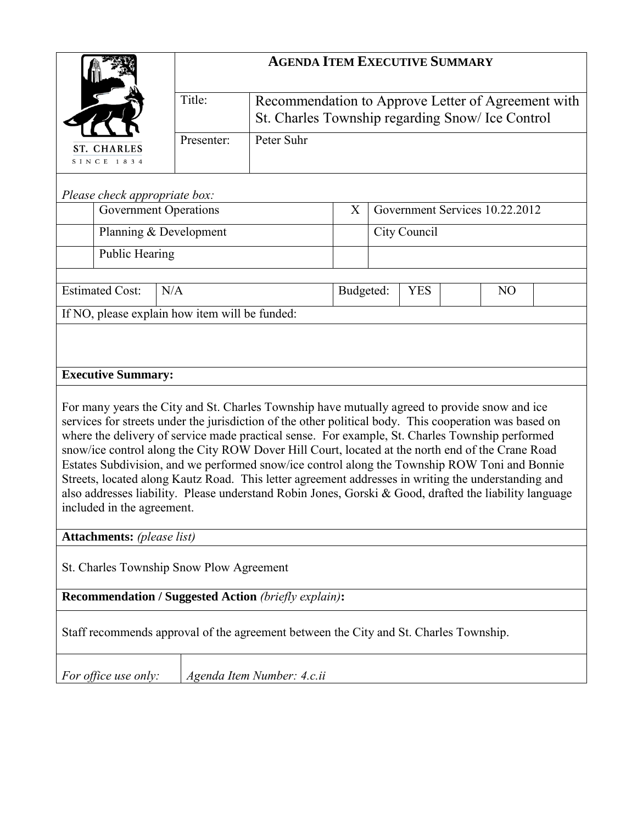|                                                                                                                                                                                                                                                                                                                                                                                                                                                                                                                                                                                                                                                                                                                                                                                             | <b>AGENDA ITEM EXECUTIVE SUMMARY</b>                                                                             |                            |           |                                     |            |  |                |  |  |
|---------------------------------------------------------------------------------------------------------------------------------------------------------------------------------------------------------------------------------------------------------------------------------------------------------------------------------------------------------------------------------------------------------------------------------------------------------------------------------------------------------------------------------------------------------------------------------------------------------------------------------------------------------------------------------------------------------------------------------------------------------------------------------------------|------------------------------------------------------------------------------------------------------------------|----------------------------|-----------|-------------------------------------|------------|--|----------------|--|--|
|                                                                                                                                                                                                                                                                                                                                                                                                                                                                                                                                                                                                                                                                                                                                                                                             | Title:<br>Recommendation to Approve Letter of Agreement with<br>St. Charles Township regarding Snow/ Ice Control |                            |           |                                     |            |  |                |  |  |
| <b>ST. CHARLES</b><br>SINCE 1834                                                                                                                                                                                                                                                                                                                                                                                                                                                                                                                                                                                                                                                                                                                                                            | Presenter:                                                                                                       | Peter Suhr                 |           |                                     |            |  |                |  |  |
| Please check appropriate box:                                                                                                                                                                                                                                                                                                                                                                                                                                                                                                                                                                                                                                                                                                                                                               |                                                                                                                  |                            |           |                                     |            |  |                |  |  |
| <b>Government Operations</b>                                                                                                                                                                                                                                                                                                                                                                                                                                                                                                                                                                                                                                                                                                                                                                |                                                                                                                  |                            |           | Government Services 10.22.2012<br>X |            |  |                |  |  |
| Planning & Development                                                                                                                                                                                                                                                                                                                                                                                                                                                                                                                                                                                                                                                                                                                                                                      |                                                                                                                  |                            |           | City Council                        |            |  |                |  |  |
| <b>Public Hearing</b>                                                                                                                                                                                                                                                                                                                                                                                                                                                                                                                                                                                                                                                                                                                                                                       |                                                                                                                  |                            |           |                                     |            |  |                |  |  |
| <b>Estimated Cost:</b><br>N/A                                                                                                                                                                                                                                                                                                                                                                                                                                                                                                                                                                                                                                                                                                                                                               |                                                                                                                  |                            | Budgeted: |                                     | <b>YES</b> |  | N <sub>O</sub> |  |  |
| If NO, please explain how item will be funded:                                                                                                                                                                                                                                                                                                                                                                                                                                                                                                                                                                                                                                                                                                                                              |                                                                                                                  |                            |           |                                     |            |  |                |  |  |
| <b>Executive Summary:</b><br>For many years the City and St. Charles Township have mutually agreed to provide snow and ice<br>services for streets under the jurisdiction of the other political body. This cooperation was based on<br>where the delivery of service made practical sense. For example, St. Charles Township performed<br>snow/ice control along the City ROW Dover Hill Court, located at the north end of the Crane Road<br>Estates Subdivision, and we performed snow/ice control along the Township ROW Toni and Bonnie<br>Streets, located along Kautz Road. This letter agreement addresses in writing the understanding and<br>also addresses liability. Please understand Robin Jones, Gorski & Good, drafted the liability language<br>included in the agreement. |                                                                                                                  |                            |           |                                     |            |  |                |  |  |
| <b>Attachments:</b> (please list)                                                                                                                                                                                                                                                                                                                                                                                                                                                                                                                                                                                                                                                                                                                                                           |                                                                                                                  |                            |           |                                     |            |  |                |  |  |
| St. Charles Township Snow Plow Agreement                                                                                                                                                                                                                                                                                                                                                                                                                                                                                                                                                                                                                                                                                                                                                    |                                                                                                                  |                            |           |                                     |            |  |                |  |  |
| <b>Recommendation / Suggested Action (briefly explain):</b>                                                                                                                                                                                                                                                                                                                                                                                                                                                                                                                                                                                                                                                                                                                                 |                                                                                                                  |                            |           |                                     |            |  |                |  |  |
| Staff recommends approval of the agreement between the City and St. Charles Township.                                                                                                                                                                                                                                                                                                                                                                                                                                                                                                                                                                                                                                                                                                       |                                                                                                                  |                            |           |                                     |            |  |                |  |  |
| For office use only:                                                                                                                                                                                                                                                                                                                                                                                                                                                                                                                                                                                                                                                                                                                                                                        |                                                                                                                  | Agenda Item Number: 4.c.ii |           |                                     |            |  |                |  |  |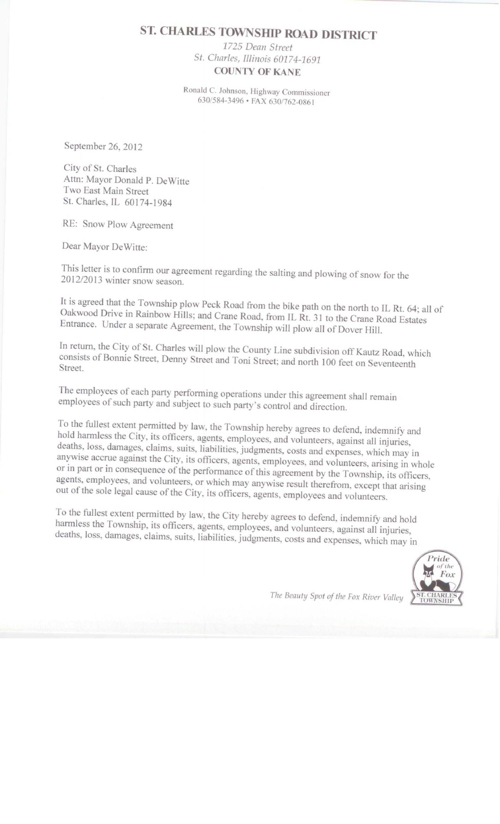# **ST. CHARLES TOWNSHIP ROAD DISTRICT**

1725 Dean Street St. Charles, Illinois 60174-1691 **COUNTY OF KANE** 

Ronald C. Johnson, Highway Commissioner 630/584-3496 · FAX 630/762-0861

September 26, 2012

City of St. Charles Attn: Mayor Donald P. DeWitte Two East Main Street St. Charles, IL 60174-1984

RE: Snow Plow Agreement

Dear Mayor DeWitte:

This letter is to confirm our agreement regarding the salting and plowing of snow for the 2012/2013 winter snow season.

It is agreed that the Township plow Peck Road from the bike path on the north to IL Rt. 64; all of Oakwood Drive in Rainbow Hills; and Crane Road, from IL Rt. 31 to the Crane Road Estates Entrance. Under a separate Agreement, the Township will plow all of Dover Hill.

In return, the City of St. Charles will plow the County Line subdivision off Kautz Road, which consists of Bonnie Street, Denny Street and Toni Street; and north 100 feet on Seventeenth Street.

The employees of each party performing operations under this agreement shall remain employees of such party and subject to such party's control and direction.

To the fullest extent permitted by law, the Township hereby agrees to defend, indemnify and hold harmless the City, its officers, agents, employees, and volunteers, against all injuries, deaths, loss, damages, claims, suits, liabilities, judgments, costs and expenses, which may in anywise accrue against the City, its officers, agents, employees, and volunteers, arising in whole or in part or in consequence of the performance of this agreement by the Township, its officers, agents, employees, and volunteers, or which may anywise result therefrom, except that arising out of the sole legal cause of the City, its officers, agents, employees and volunteers.

To the fullest extent permitted by law, the City hereby agrees to defend, indemnify and hold harmless the Township, its officers, agents, employees, and volunteers, against all injuries, deaths, loss, damages, claims, suits, liabilities, judgments, costs and expenses, which may in



The Beauty Spot of the Fox River Valley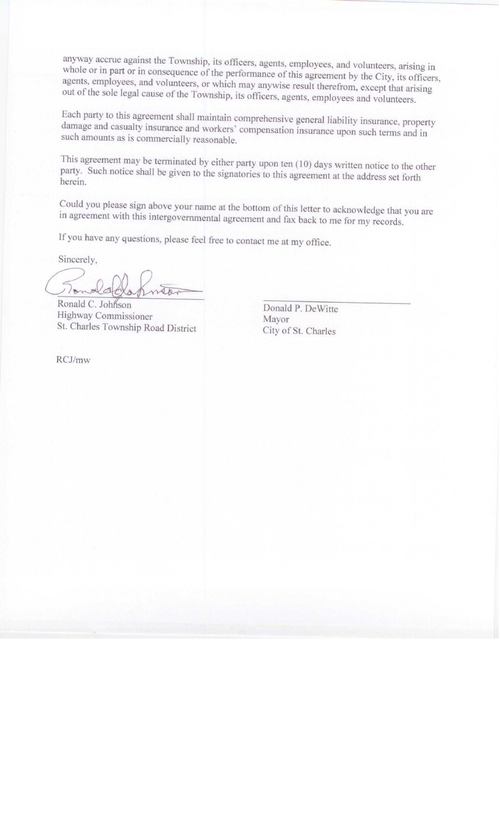anyway accrue against the Township, its officers, agents, employees, and volunteers, arising in whole or in part or in consequence of the performance of this agreement by the City, its officers, agents, employees, and volunteers, or which may anywise result therefrom, except that arising out of the sole legal cause of the Township, its officers, agents, employees and volunteers.

Each party to this agreement shall maintain comprehensive general liability insurance, property damage and casualty insurance and workers' compensation insurance upon such terms and in such amounts as is commercially reasonable.

This agreement may be terminated by either party upon ten (10) days written notice to the other party. Such notice shall be given to the signatories to this agreement at the address set forth herein.

Could you please sign above your name at the bottom of this letter to acknowledge that you are in agreement with this intergovernmental agreement and fax back to me for my records.

If you have any questions, please feel free to contact me at my office.

Sincerely,

 $\frac{1}{2}$ tor

Ronald C. Johnson Highway Commissioner St. Charles Township Road District

Donald P. DeWitte Mayor City of St. Charles

RCJ/mw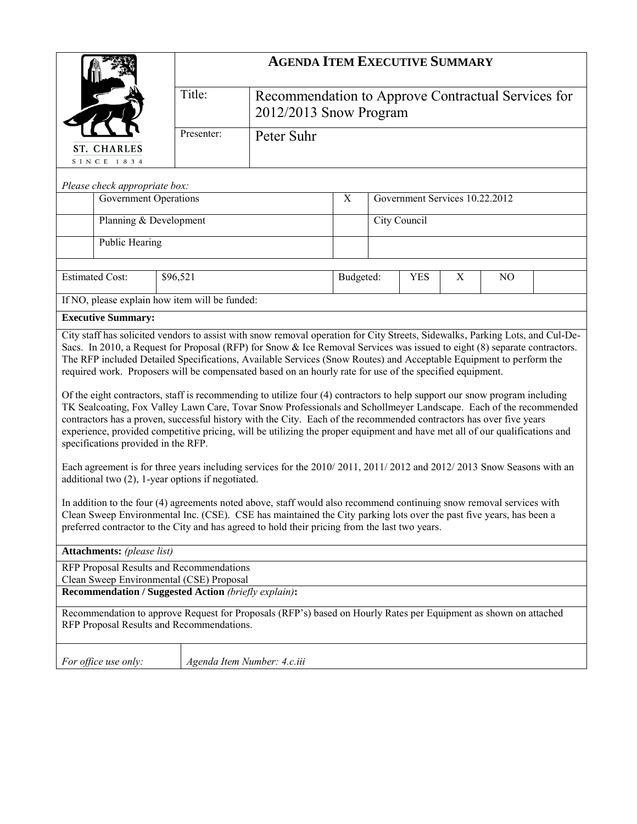| Title:<br>Recommendation to Approve Contractual Services for<br>2012/2013 Snow Program<br>Presenter:<br>Peter Suhr<br><b>ST. CHARLES</b><br>SINCE 1834<br>Please check appropriate box:<br>Government Services 10.22.2012<br><b>Government Operations</b><br>X                                                                                                                                                                                                                                                                                                                                                                                                                                                                                  |  | <b>AGENDA ITEM EXECUTIVE SUMMARY</b> |  |  |  |  |  |  |  |  |
|-------------------------------------------------------------------------------------------------------------------------------------------------------------------------------------------------------------------------------------------------------------------------------------------------------------------------------------------------------------------------------------------------------------------------------------------------------------------------------------------------------------------------------------------------------------------------------------------------------------------------------------------------------------------------------------------------------------------------------------------------|--|--------------------------------------|--|--|--|--|--|--|--|--|
|                                                                                                                                                                                                                                                                                                                                                                                                                                                                                                                                                                                                                                                                                                                                                 |  |                                      |  |  |  |  |  |  |  |  |
|                                                                                                                                                                                                                                                                                                                                                                                                                                                                                                                                                                                                                                                                                                                                                 |  |                                      |  |  |  |  |  |  |  |  |
|                                                                                                                                                                                                                                                                                                                                                                                                                                                                                                                                                                                                                                                                                                                                                 |  |                                      |  |  |  |  |  |  |  |  |
|                                                                                                                                                                                                                                                                                                                                                                                                                                                                                                                                                                                                                                                                                                                                                 |  |                                      |  |  |  |  |  |  |  |  |
|                                                                                                                                                                                                                                                                                                                                                                                                                                                                                                                                                                                                                                                                                                                                                 |  |                                      |  |  |  |  |  |  |  |  |
| City Council<br>Planning & Development                                                                                                                                                                                                                                                                                                                                                                                                                                                                                                                                                                                                                                                                                                          |  |                                      |  |  |  |  |  |  |  |  |
|                                                                                                                                                                                                                                                                                                                                                                                                                                                                                                                                                                                                                                                                                                                                                 |  |                                      |  |  |  |  |  |  |  |  |
| Public Hearing                                                                                                                                                                                                                                                                                                                                                                                                                                                                                                                                                                                                                                                                                                                                  |  |                                      |  |  |  |  |  |  |  |  |
| <b>Estimated Cost:</b><br>\$96,521<br>Budgeted:<br><b>YES</b><br>$\boldsymbol{\mathrm{X}}$<br>NO                                                                                                                                                                                                                                                                                                                                                                                                                                                                                                                                                                                                                                                |  |                                      |  |  |  |  |  |  |  |  |
| If NO, please explain how item will be funded:                                                                                                                                                                                                                                                                                                                                                                                                                                                                                                                                                                                                                                                                                                  |  |                                      |  |  |  |  |  |  |  |  |
| <b>Executive Summary:</b>                                                                                                                                                                                                                                                                                                                                                                                                                                                                                                                                                                                                                                                                                                                       |  |                                      |  |  |  |  |  |  |  |  |
| City staff has solicited vendors to assist with snow removal operation for City Streets, Sidewalks, Parking Lots, and Cul-De-<br>Sacs. In 2010, a Request for Proposal (RFP) for Snow & Ice Removal Services was issued to eight (8) separate contractors.<br>The RFP included Detailed Specifications, Available Services (Snow Routes) and Acceptable Equipment to perform the<br>required work. Proposers will be compensated based on an hourly rate for use of the specified equipment.<br>Of the eight contractors, staff is recommending to utilize four (4) contractors to help support our snow program including<br>TK Sealcoating, Fox Valley Lawn Care, Tovar Snow Professionals and Schollmeyer Landscape. Each of the recommended |  |                                      |  |  |  |  |  |  |  |  |
| contractors has a proven, successful history with the City. Each of the recommended contractors has over five years<br>experience, provided competitive pricing, will be utilizing the proper equipment and have met all of our qualifications and<br>specifications provided in the RFP.                                                                                                                                                                                                                                                                                                                                                                                                                                                       |  |                                      |  |  |  |  |  |  |  |  |
| Each agreement is for three years including services for the 2010/2011, 2011/2012 and 2012/2013 Snow Seasons with an<br>additional two (2), 1-year options if negotiated.                                                                                                                                                                                                                                                                                                                                                                                                                                                                                                                                                                       |  |                                      |  |  |  |  |  |  |  |  |
| In addition to the four (4) agreements noted above, staff would also recommend continuing snow removal services with<br>Clean Sweep Environmental Inc. (CSE). CSE has maintained the City parking lots over the past five years, has been a<br>preferred contractor to the City and has agreed to hold their pricing from the last two years.                                                                                                                                                                                                                                                                                                                                                                                                   |  |                                      |  |  |  |  |  |  |  |  |
| Attachments: (please list)                                                                                                                                                                                                                                                                                                                                                                                                                                                                                                                                                                                                                                                                                                                      |  |                                      |  |  |  |  |  |  |  |  |
| RFP Proposal Results and Recommendations<br>Clean Sweep Environmental (CSE) Proposal                                                                                                                                                                                                                                                                                                                                                                                                                                                                                                                                                                                                                                                            |  |                                      |  |  |  |  |  |  |  |  |
| Recommendation / Suggested Action (briefly explain):                                                                                                                                                                                                                                                                                                                                                                                                                                                                                                                                                                                                                                                                                            |  |                                      |  |  |  |  |  |  |  |  |
| Recommendation to approve Request for Proposals (RFP's) based on Hourly Rates per Equipment as shown on attached<br>RFP Proposal Results and Recommendations.                                                                                                                                                                                                                                                                                                                                                                                                                                                                                                                                                                                   |  |                                      |  |  |  |  |  |  |  |  |
| For office use only:<br>Agenda Item Number: 4.c.iii                                                                                                                                                                                                                                                                                                                                                                                                                                                                                                                                                                                                                                                                                             |  |                                      |  |  |  |  |  |  |  |  |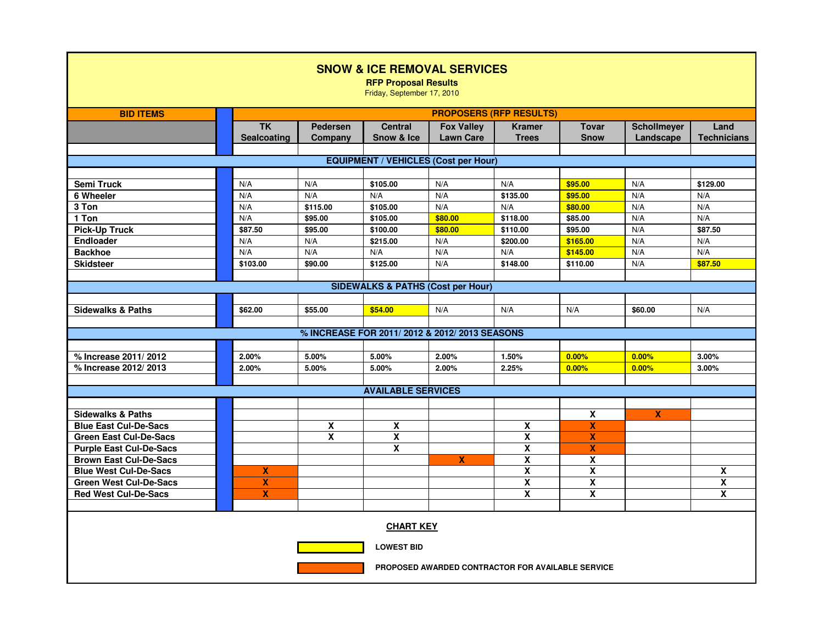| <b>SNOW &amp; ICE REMOVAL SERVICES</b><br><b>RFP Proposal Results</b><br>Friday, September 17, 2010 |                                         |                            |                                              |                                       |                               |                             |                                 |                            |
|-----------------------------------------------------------------------------------------------------|-----------------------------------------|----------------------------|----------------------------------------------|---------------------------------------|-------------------------------|-----------------------------|---------------------------------|----------------------------|
| <b>BID ITEMS</b>                                                                                    | <b>PROPOSERS (RFP RESULTS)</b>          |                            |                                              |                                       |                               |                             |                                 |                            |
|                                                                                                     | $\overline{\mathsf{TK}}$<br>Sealcoating | <b>Pedersen</b><br>Company | <b>Central</b><br>Snow & Ice                 | <b>Fox Valley</b><br><b>Lawn Care</b> | <b>Kramer</b><br><b>Trees</b> | <b>Tovar</b><br><b>Snow</b> | <b>Schollmeyer</b><br>Landscape | Land<br><b>Technicians</b> |
| <b>EQUIPMENT / VEHICLES (Cost per Hour)</b>                                                         |                                         |                            |                                              |                                       |                               |                             |                                 |                            |
|                                                                                                     |                                         |                            |                                              |                                       |                               |                             |                                 |                            |
| <b>Semi Truck</b>                                                                                   | N/A                                     | N/A                        | \$105.00                                     | N/A                                   | N/A                           | \$95.00                     | N/A                             | \$129.00                   |
| 6 Wheeler                                                                                           | N/A                                     | N/A                        | N/A                                          | N/A                                   | \$135.00                      | \$95.00                     | N/A                             | N/A                        |
| 3 Ton                                                                                               | N/A                                     | \$115.00                   | \$105.00                                     | N/A                                   | N/A                           | \$80.00                     | N/A                             | N/A                        |
| 1 Ton                                                                                               | N/A                                     | \$95.00                    | \$105.00                                     | \$80.00                               | \$118.00                      | \$85.00                     | N/A                             | N/A                        |
| <b>Pick-Up Truck</b>                                                                                | \$87.50                                 | \$95.00                    | \$100.00                                     | \$80.00                               | \$110.00                      | \$95.00                     | N/A                             | \$87.50                    |
| <b>Endloader</b>                                                                                    | N/A                                     | N/A                        | \$215.00                                     | N/A                                   | \$200.00                      | \$165.00                    | N/A                             | N/A                        |
| <b>Backhoe</b>                                                                                      | N/A                                     | N/A                        | N/A                                          | N/A                                   | N/A                           | \$145.00                    | N/A                             | N/A                        |
| <b>Skidsteer</b>                                                                                    | \$103.00                                | \$90.00                    | \$125.00                                     | N/A                                   | \$148.00                      | \$110.00                    | N/A                             | \$87.50                    |
|                                                                                                     |                                         |                            |                                              |                                       |                               |                             |                                 |                            |
| <b>SIDEWALKS &amp; PATHS (Cost per Hour)</b>                                                        |                                         |                            |                                              |                                       |                               |                             |                                 |                            |
| <b>Sidewalks &amp; Paths</b>                                                                        | \$62.00                                 | \$55.00                    | \$54.00                                      | N/A                                   | N/A                           | N/A                         | \$60.00                         | N/A                        |
|                                                                                                     |                                         |                            | % INCREASE FOR 2011/2012 & 2012/2013 SEASONS |                                       |                               |                             |                                 |                            |
| % Increase 2011/2012                                                                                | 2.00%                                   | 5.00%                      | 5.00%                                        | 2.00%                                 | 1.50%                         | 0.00%                       | 0.00%                           | 3.00%                      |
| % Increase 2012/2013                                                                                | 2.00%                                   | 5.00%                      | 5.00%                                        | 2.00%                                 | 2.25%                         | 0.00%                       | 0.00%                           | 3.00%                      |
|                                                                                                     |                                         |                            |                                              |                                       |                               |                             |                                 |                            |
| <b>AVAILABLE SERVICES</b>                                                                           |                                         |                            |                                              |                                       |                               |                             |                                 |                            |
|                                                                                                     |                                         |                            |                                              |                                       |                               |                             |                                 |                            |
| <b>Sidewalks &amp; Paths</b>                                                                        |                                         |                            |                                              |                                       |                               | $\overline{\mathbf{x}}$     | X                               |                            |
| <b>Blue East Cul-De-Sacs</b>                                                                        |                                         | $\pmb{\chi}$               | $\overline{\mathbf{x}}$                      |                                       | $\pmb{\mathsf{X}}$            | X                           |                                 |                            |
| <b>Green East Cul-De-Sacs</b>                                                                       |                                         | X                          | X                                            |                                       | $\overline{\mathbf{X}}$       | X                           |                                 |                            |
| <b>Purple East Cul-De-Sacs</b>                                                                      |                                         |                            | $\pmb{\chi}$                                 |                                       | $\pmb{\mathsf{X}}$            | $\boldsymbol{\mathsf{x}}$   |                                 |                            |
| <b>Brown East Cul-De-Sacs</b>                                                                       |                                         |                            |                                              | X                                     | X                             | X                           |                                 |                            |
| <b>Blue West Cul-De-Sacs</b>                                                                        | X                                       |                            |                                              |                                       | $\overline{\mathbf{x}}$       | $\overline{\mathbf{x}}$     |                                 | $\overline{\mathbf{X}}$    |
| <b>Green West Cul-De-Sacs</b>                                                                       | $\boldsymbol{\mathsf{X}}$               |                            |                                              |                                       | $\overline{\mathbf{X}}$       | $\overline{\mathbf{x}}$     |                                 | $\overline{\mathbf{X}}$    |
| <b>Red West Cul-De-Sacs</b>                                                                         | $\boldsymbol{\mathsf{x}}$               |                            |                                              |                                       | X                             | X                           |                                 | X                          |
|                                                                                                     |                                         |                            |                                              |                                       |                               |                             |                                 |                            |
| <b>CHART KEY</b>                                                                                    |                                         |                            |                                              |                                       |                               |                             |                                 |                            |
| <b>LOWEST BID</b>                                                                                   |                                         |                            |                                              |                                       |                               |                             |                                 |                            |
| PROPOSED AWARDED CONTRACTOR FOR AVAILABLE SERVICE                                                   |                                         |                            |                                              |                                       |                               |                             |                                 |                            |